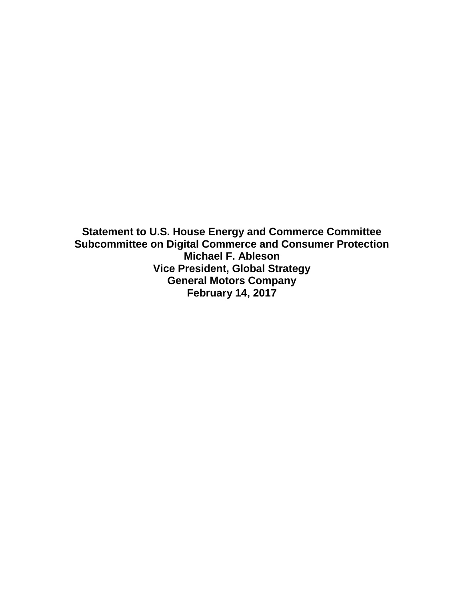**Statement to U.S. House Energy and Commerce Committee Subcommittee on Digital Commerce and Consumer Protection Michael F. Ableson Vice President, Global Strategy General Motors Company February 14, 2017**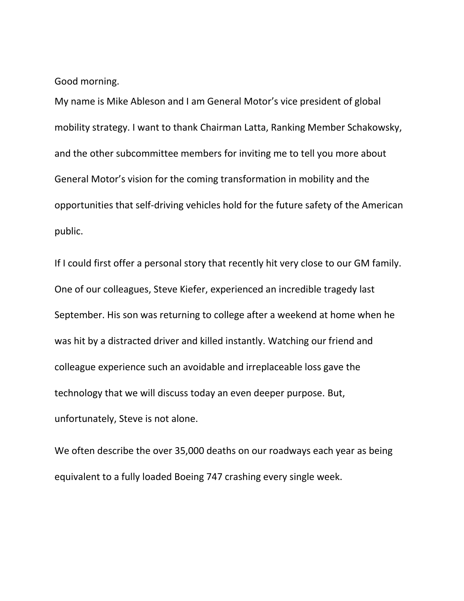Good morning.

My name is Mike Ableson and I am General Motor's vice president of global mobility strategy. I want to thank Chairman Latta, Ranking Member Schakowsky, and the other subcommittee members for inviting me to tell you more about General Motor's vision for the coming transformation in mobility and the opportunities that self-driving vehicles hold for the future safety of the American public.

If I could first offer a personal story that recently hit very close to our GM family. One of our colleagues, Steve Kiefer, experienced an incredible tragedy last September. His son was returning to college after a weekend at home when he was hit by a distracted driver and killed instantly. Watching our friend and colleague experience such an avoidable and irreplaceable loss gave the technology that we will discuss today an even deeper purpose. But, unfortunately, Steve is not alone.

We often describe the over 35,000 deaths on our roadways each year as being equivalent to a fully loaded Boeing 747 crashing every single week.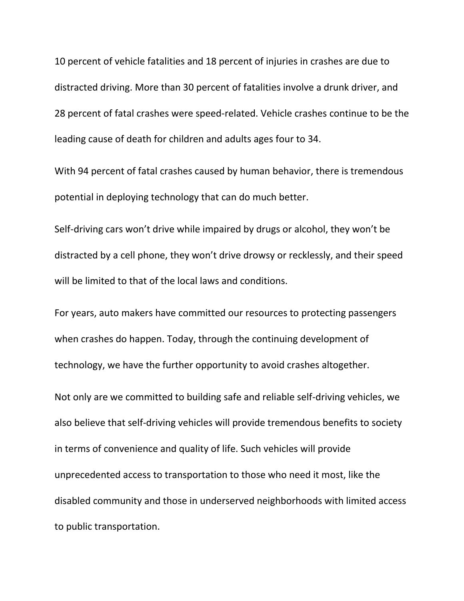10 percent of vehicle fatalities and 18 percent of injuries in crashes are due to distracted driving. More than 30 percent of fatalities involve a drunk driver, and 28 percent of fatal crashes were speed-related. Vehicle crashes continue to be the leading cause of death for children and adults ages four to 34.

With 94 percent of fatal crashes caused by human behavior, there is tremendous potential in deploying technology that can do much better.

Self-driving cars won't drive while impaired by drugs or alcohol, they won't be distracted by a cell phone, they won't drive drowsy or recklessly, and their speed will be limited to that of the local laws and conditions.

For years, auto makers have committed our resources to protecting passengers when crashes do happen. Today, through the continuing development of technology, we have the further opportunity to avoid crashes altogether.

Not only are we committed to building safe and reliable self-driving vehicles, we also believe that self-driving vehicles will provide tremendous benefits to society in terms of convenience and quality of life. Such vehicles will provide unprecedented access to transportation to those who need it most, like the disabled community and those in underserved neighborhoods with limited access to public transportation.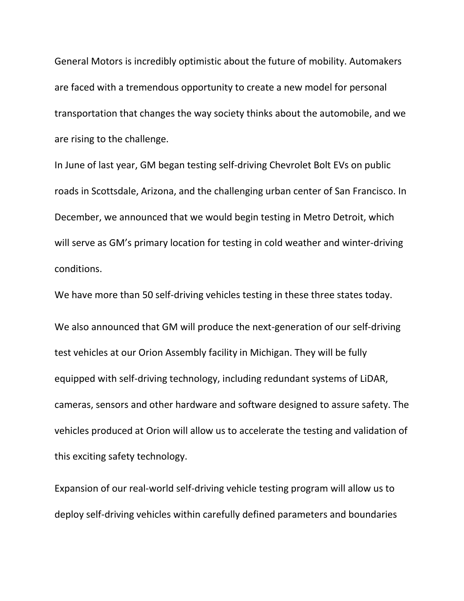General Motors is incredibly optimistic about the future of mobility. Automakers are faced with a tremendous opportunity to create a new model for personal transportation that changes the way society thinks about the automobile, and we are rising to the challenge.

In June of last year, GM began testing self-driving Chevrolet Bolt EVs on public roads in Scottsdale, Arizona, and the challenging urban center of San Francisco. In December, we announced that we would begin testing in Metro Detroit, which will serve as GM's primary location for testing in cold weather and winter-driving conditions.

We have more than 50 self-driving vehicles testing in these three states today.

We also announced that GM will produce the next-generation of our self-driving test vehicles at our Orion Assembly facility in Michigan. They will be fully equipped with self-driving technology, including redundant systems of LiDAR, cameras, sensors and other hardware and software designed to assure safety. The vehicles produced at Orion will allow us to accelerate the testing and validation of this exciting safety technology.

Expansion of our real-world self-driving vehicle testing program will allow us to deploy self-driving vehicles within carefully defined parameters and boundaries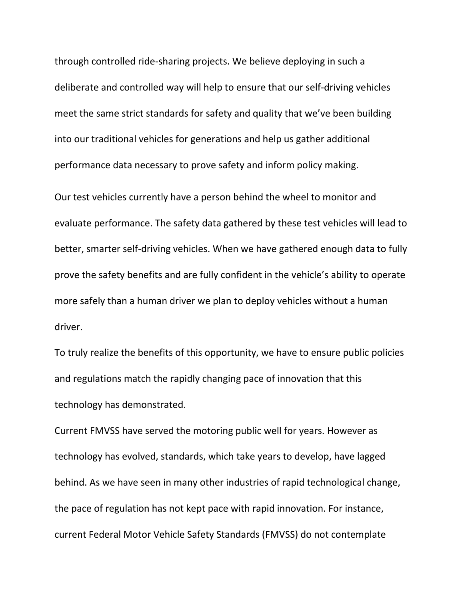through controlled ride-sharing projects. We believe deploying in such a deliberate and controlled way will help to ensure that our self-driving vehicles meet the same strict standards for safety and quality that we've been building into our traditional vehicles for generations and help us gather additional performance data necessary to prove safety and inform policy making.

Our test vehicles currently have a person behind the wheel to monitor and evaluate performance. The safety data gathered by these test vehicles will lead to better, smarter self-driving vehicles. When we have gathered enough data to fully prove the safety benefits and are fully confident in the vehicle's ability to operate more safely than a human driver we plan to deploy vehicles without a human driver.

To truly realize the benefits of this opportunity, we have to ensure public policies and regulations match the rapidly changing pace of innovation that this technology has demonstrated.

Current FMVSS have served the motoring public well for years. However as technology has evolved, standards, which take years to develop, have lagged behind. As we have seen in many other industries of rapid technological change, the pace of regulation has not kept pace with rapid innovation. For instance, current Federal Motor Vehicle Safety Standards (FMVSS) do not contemplate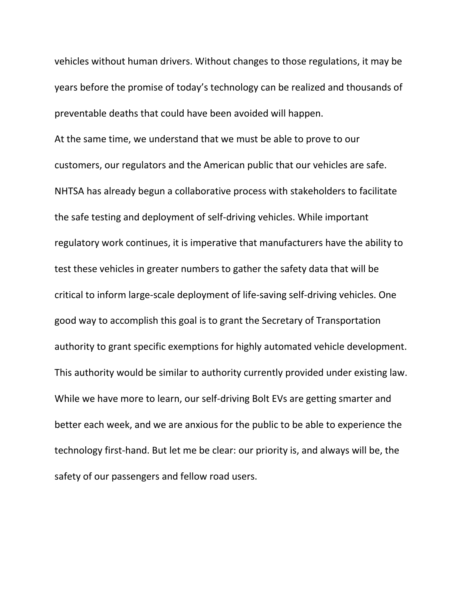vehicles without human drivers. Without changes to those regulations, it may be years before the promise of today's technology can be realized and thousands of preventable deaths that could have been avoided will happen.

At the same time, we understand that we must be able to prove to our customers, our regulators and the American public that our vehicles are safe. NHTSA has already begun a collaborative process with stakeholders to facilitate the safe testing and deployment of self-driving vehicles. While important regulatory work continues, it is imperative that manufacturers have the ability to test these vehicles in greater numbers to gather the safety data that will be critical to inform large-scale deployment of life-saving self-driving vehicles. One good way to accomplish this goal is to grant the Secretary of Transportation authority to grant specific exemptions for highly automated vehicle development. This authority would be similar to authority currently provided under existing law. While we have more to learn, our self-driving Bolt EVs are getting smarter and better each week, and we are anxious for the public to be able to experience the technology first-hand. But let me be clear: our priority is, and always will be, the safety of our passengers and fellow road users.